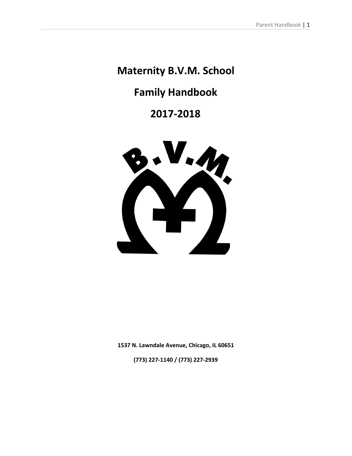# **Maternity B.V.M. School**

# **Family Handbook**

**2017-2018**



**1537 N. Lawndale Avenue, Chicago, IL 60651**

**(773) 227-1140 / (773) 227-2939**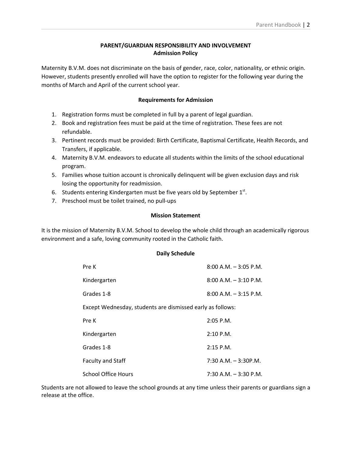# **PARENT/GUARDIAN RESPONSIBILITY AND INVOLVEMENT Admission Policy**

Maternity B.V.M. does not discriminate on the basis of gender, race, color, nationality, or ethnic origin. However, students presently enrolled will have the option to register for the following year during the months of March and April of the current school year.

# **Requirements for Admission**

- 1. Registration forms must be completed in full by a parent of legal guardian.
- 2. Book and registration fees must be paid at the time of registration. These fees are not refundable.
- 3. Pertinent records must be provided: Birth Certificate, Baptismal Certificate, Health Records, and Transfers, if applicable.
- 4. Maternity B.V.M. endeavors to educate all students within the limits of the school educational program.
- 5. Families whose tuition account is chronically delinquent will be given exclusion days and risk losing the opportunity for readmission.
- 6. Students entering Kindergarten must be five years old by September  $1<sup>st</sup>$ .
- 7. Preschool must be toilet trained, no pull-ups

# **Mission Statement**

It is the mission of Maternity B.V.M. School to develop the whole child through an academically rigorous environment and a safe, loving community rooted in the Catholic faith.

**Daily Schedule**

| Pre K                                                      | $8:00$ A.M. $-3:05$ P.M. |
|------------------------------------------------------------|--------------------------|
| Kindergarten                                               | $8:00$ A.M. $-3:10$ P.M. |
| Grades 1-8                                                 | $8:00$ A.M. $-3:15$ P.M. |
| Except Wednesday, students are dismissed early as follows: |                          |
| Pre K                                                      | 2:05 P.M.                |
| Kindergarten                                               | 2:10 P.M.                |
| Grades 1-8                                                 | 2:15 P.M.                |
| <b>Faculty and Staff</b>                                   | $7:30$ A.M. $-3:30$ P.M. |
| <b>School Office Hours</b>                                 | $7:30$ A.M. $-3:30$ P.M. |

Students are not allowed to leave the school grounds at any time unless their parents or guardians sign a release at the office.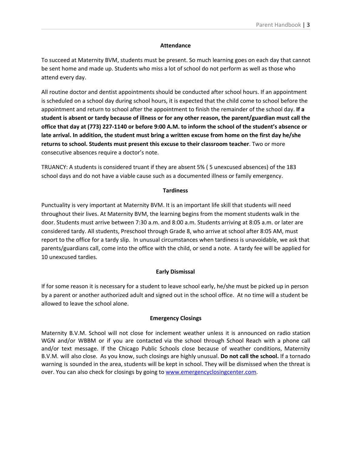# **Attendance**

To succeed at Maternity BVM, students must be present. So much learning goes on each day that cannot be sent home and made up. Students who miss a lot of school do not perform as well as those who attend every day.

All routine doctor and dentist appointments should be conducted after school hours. If an appointment is scheduled on a school day during school hours, it is expected that the child come to school before the appointment and return to school after the appointment to finish the remainder of the school day. **If a** student is absent or tardy because of illness or for any other reason, the parent/guardian must call the office that day at (773) 227-1140 or before 9:00 A.M. to inform the school of the student's absence or late arrival. In addition, the student must bring a written excuse from home on the first day he/she **returns to school. Students must present this excuse to their classroom teacher**. Two or more consecutive absences require a doctor's note.

TRUANCY: A students is considered truant if they are absent 5% ( 5 unexcused absences) of the 183 school days and do not have a viable cause such as a documented illness or family emergency.

# **Tardiness**

Punctuality is very important at Maternity BVM. It is an important life skill that students will need throughout their lives. At Maternity BVM, the learning begins from the moment students walk in the door. Students must arrive between 7:30 a.m. and 8:00 a.m. Students arriving at 8:05 a.m. or later are considered tardy. All students, Preschool through Grade 8, who arrive at school after 8:05 AM, must report to the office for a tardy slip. In unusual circumstances when tardiness is unavoidable, we ask that parents/guardians call, come into the office with the child, or send a note. A tardy fee will be applied for 10 unexcused tardies.

# **Early Dismissal**

If for some reason it is necessary for a student to leave school early, he/she must be picked up in person by a parent or another authorized adult and signed out in the school office. At no time will a student be allowed to leave the school alone.

# **Emergency Closings**

Maternity B.V.M. School will not close for inclement weather unless it is announced on radio station WGN and/or WBBM or if you are contacted via the school through School Reach with a phone call and/or text message. If the Chicago Public Schools close because of weather conditions, Maternity B.V.M. will also close. As you know, such closings are highly unusual. **Do not call the school.** If a tornado warning is sounded in the area, students will be kept in school. They will be dismissed when the threat is over. You can also check for closings by going to [www.emergencyclosingcenter.com.](http://www.emergencyclosingcenter.com/)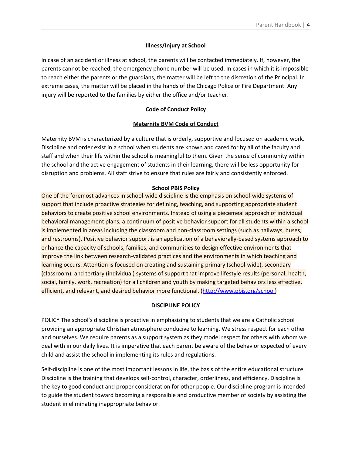# **Illness/Injury at School**

In case of an accident or illness at school, the parents will be contacted immediately. If, however, the parents cannot be reached, the emergency phone number will be used. In cases in which it is impossible to reach either the parents or the guardians, the matter will be left to the discretion of the Principal. In extreme cases, the matter will be placed in the hands of the Chicago Police or Fire Department. Any injury will be reported to the families by either the office and/or teacher.

# **Code of Conduct Policy**

## **Maternity BVM Code of Conduct**

Maternity BVM is characterized by a culture that is orderly, supportive and focused on academic work. Discipline and order exist in a school when students are known and cared for by all of the faculty and staff and when their life within the school is meaningful to them. Given the sense of community within the school and the active engagement of students in their learning, there will be less opportunity for disruption and problems. All staff strive to ensure that rules are fairly and consistently enforced.

## **School PBIS Policy**

One of the foremost advances in school-wide discipline is the emphasis on school-wide systems of support that include proactive strategies for defining, teaching, and supporting appropriate student behaviors to create positive school environments. Instead of using a piecemeal approach of individual behavioral management plans, a continuum of positive behavior support for all students within a school is implemented in areas including the classroom and non-classroom settings (such as hallways, buses, and restrooms). Positive behavior support is an application of a behaviorally-based systems approach to enhance the capacity of schools, families, and communities to design effective environments that improve the link between research-validated practices and the environments in which teaching and learning occurs. Attention is focused on creating and sustaining primary (school-wide), secondary (classroom), and tertiary (individual) systems of support that improve lifestyle results (personal, health, social, family, work, recreation) for all children and youth by making targeted behaviors less effective, efficient, and relevant, and desired behavior more functional. [\(http://www.pbis.org/school](http://www.pbis.org/school))

#### **DISCIPLINE POLICY**

POLICY The school's discipline is proactive in emphasizing to students that we are a Catholic school providing an appropriate Christian atmosphere conducive to learning. We stress respect for each other and ourselves. We require parents as a support system as they model respect for others with whom we deal with in our daily lives. It is imperative that each parent be aware of the behavior expected of every child and assist the school in implementing its rules and regulations.

Self-discipline is one of the most important lessons in life, the basis of the entire educational structure. Discipline is the training that develops self-control, character, orderliness, and efficiency. Discipline is the key to good conduct and proper consideration for other people. Our discipline program is intended to guide the student toward becoming a responsible and productive member of society by assisting the student in eliminating inappropriate behavior.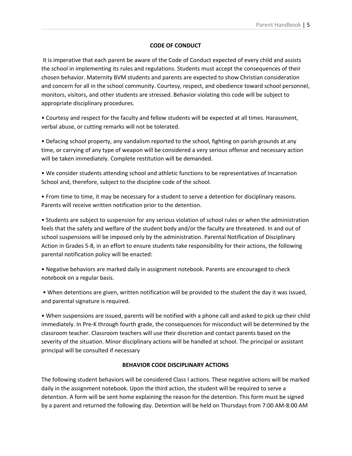# **CODE OF CONDUCT**

It is imperative that each parent be aware of the Code of Conduct expected of every child and assists the school in implementing its rules and regulations. Students must accept the consequences of their chosen behavior. Maternity BVM students and parents are expected to show Christian consideration and concern for all in the school community. Courtesy, respect, and obedience toward school personnel, monitors, visitors, and other students are stressed. Behavior violating this code will be subject to appropriate disciplinary procedures.

• Courtesy and respect for the faculty and fellow students will be expected at all times. Harassment, verbal abuse, or cutting remarks will not be tolerated.

• Defacing school property, any vandalism reported to the school, fighting on parish grounds at any time, or carrying of any type of weapon will be considered a very serious offense and necessary action will be taken immediately. Complete restitution will be demanded.

• We consider students attending school and athletic functions to be representatives of Incarnation School and, therefore, subject to the discipline code of the school.

• From time to time, it may be necessary for a student to serve a detention for disciplinary reasons. Parents will receive written notification prior to the detention.

• Students are subject to suspension for any serious violation of school rules or when the administration feels that the safety and welfare of the student body and/or the faculty are threatened. In and out of school suspensions will be imposed only by the administration. Parental Notification of Disciplinary Action in Grades 5-8, in an effort to ensure students take responsibility for their actions, the following parental notification policy will be enacted:

• Negative behaviors are marked daily in assignment notebook. Parents are encouraged to check notebook on a regular basis.

• When detentions are given, written notification will be provided to the student the day it was issued, and parental signature is required.

• When suspensions are issued, parents will be notified with a phone call and asked to pick up their child immediately. In Pre-K through fourth grade, the consequences for misconduct will be determined by the classroom teacher. Classroom teachers will use their discretion and contact parents based on the severity of the situation. Minor disciplinary actions will be handled at school. The principal or assistant principal will be consulted if necessary

# **BEHAVIOR CODE DISCIPLINARY ACTIONS**

The following student behaviors will be considered Class I actions. These negative actions will be marked daily in the assignment notebook. Upon the third action, the student will be required to serve a detention. A form will be sent home explaining the reason for the detention. This form must be signed by a parent and returned the following day. Detention will be held on Thursdays from 7:00 AM-8:00 AM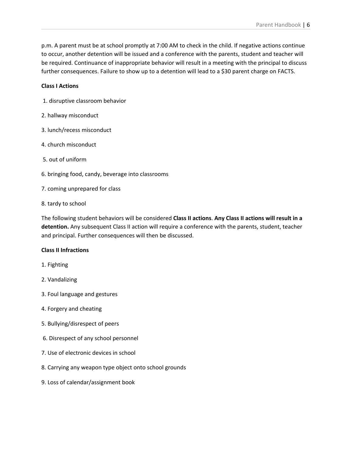p.m. A parent must be at school promptly at 7:00 AM to check in the child. If negative actions continue to occur, another detention will be issued and a conference with the parents, student and teacher will be required. Continuance of inappropriate behavior will result in a meeting with the principal to discuss further consequences. Failure to show up to a detention will lead to a \$30 parent charge on FACTS.

# **Class I Actions**

- 1. disruptive classroom behavior
- 2. hallway misconduct
- 3. lunch/recess misconduct
- 4. church misconduct
- 5. out of uniform
- 6. bringing food, candy, beverage into classrooms
- 7. coming unprepared for class
- 8. tardy to school

The following student behaviors will be considered **Class II actions**. **Any Class II actions will result in a detention.** Any subsequent Class II action will require a conference with the parents, student, teacher and principal. Further consequences will then be discussed.

# **Class II Infractions**

- 1. Fighting
- 2. Vandalizing
- 3. Foul language and gestures
- 4. Forgery and cheating
- 5. Bullying/disrespect of peers
- 6. Disrespect of any school personnel
- 7. Use of electronic devices in school
- 8. Carrying any weapon type object onto school grounds
- 9. Loss of calendar/assignment book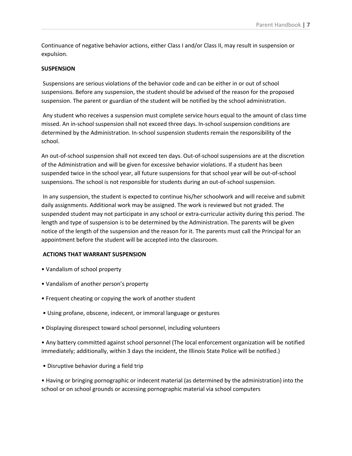Continuance of negative behavior actions, either Class I and/or Class II, may result in suspension or expulsion.

## **SUSPENSION**

Suspensions are serious violations of the behavior code and can be either in or out of school suspensions. Before any suspension, the student should be advised of the reason for the proposed suspension. The parent or guardian of the student will be notified by the school administration.

Any student who receives a suspension must complete service hours equal to the amount of class time missed. An in-school suspension shall not exceed three days. In-school suspension conditions are determined by the Administration. In-school suspension students remain the responsibility of the school.

An out-of-school suspension shall not exceed ten days. Out-of-school suspensions are at the discretion of the Administration and will be given for excessive behavior violations. If a student has been suspended twice in the school year, all future suspensions for that school year will be out-of-school suspensions. The school is not responsible for students during an out-of-school suspension.

In any suspension, the student is expected to continue his/her schoolwork and will receive and submit daily assignments. Additional work may be assigned. The work is reviewed but not graded. The suspended student may not participate in any school or extra-curricular activity during this period. The length and type of suspension is to be determined by the Administration. The parents will be given notice of the length of the suspension and the reason for it. The parents must call the Principal for an appointment before the student will be accepted into the classroom.

# **ACTIONS THAT WARRANT SUSPENSION**

- Vandalism of school property
- Vandalism of another person's property
- Frequent cheating or copying the work of another student
- Using profane, obscene, indecent, or immoral language or gestures
- Displaying disrespect toward school personnel, including volunteers

• Any battery committed against school personnel (The local enforcement organization will be notified immediately; additionally, within 3 days the incident, the Illinois State Police will be notified.)

• Disruptive behavior during a field trip

• Having or bringing pornographic or indecent material (as determined by the administration) into the school or on school grounds or accessing pornographic material via school computers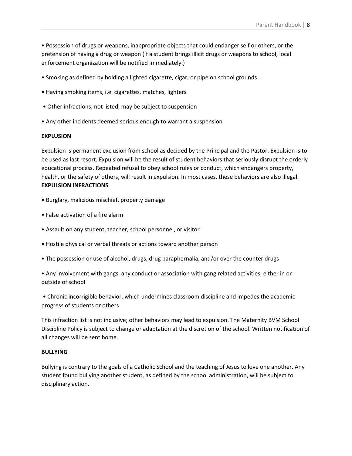• Possession of drugs or weapons, inappropriate objects that could endanger self or others, or the pretension of having a drug or weapon (If a student brings illicit drugs or weapons to school, local enforcement organization will be notified immediately.)

- Smoking as defined by holding a lighted cigarette, cigar, or pipe on school grounds
- Having smoking items, i.e. cigarettes, matches, lighters
- Other infractions, not listed, may be subject to suspension
- Any other incidents deemed serious enough to warrant a suspension

## **EXPLUSION**

Expulsion is permanent exclusion from school as decided by the Principal and the Pastor. Expulsion is to be used as last resort. Expulsion will be the result of student behaviors that seriously disrupt the orderly educational process. Repeated refusal to obey school rules or conduct, which endangers property, health, or the safety of others, will result in expulsion. In most cases, these behaviors are also illegal. **EXPULSION INFRACTIONS**

- Burglary, malicious mischief, property damage
- False activation of a fire alarm
- Assault on any student, teacher, school personnel, or visitor
- Hostile physical or verbal threats or actions toward another person
- The possession or use of alcohol, drugs, drug paraphernalia, and/or over the counter drugs

• Any involvement with gangs, any conduct or association with gang related activities, either in or outside of school

• Chronic incorrigible behavior, which undermines classroom discipline and impedes the academic progress of students or others

This infraction list is not inclusive; other behaviors may lead to expulsion. The Maternity BVM School Discipline Policy is subject to change or adaptation at the discretion of the school. Written notification of all changes will be sent home.

#### **BULLYING**

Bullying is contrary to the goals of a Catholic School and the teaching of Jesus to love one another. Any student found bullying another student, as defined by the school administration, will be subject to disciplinary action.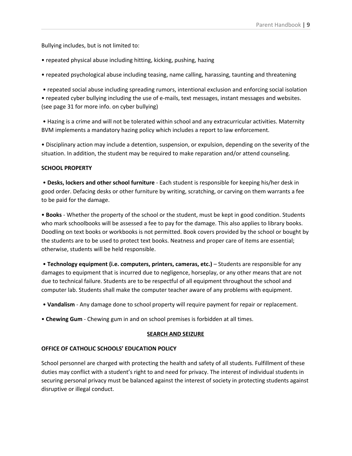Bullying includes, but is not limited to:

- repeated physical abuse including hitting, kicking, pushing, hazing
- repeated psychological abuse including teasing, name calling, harassing, taunting and threatening

• repeated social abuse including spreading rumors, intentional exclusion and enforcing social isolation • repeated cyber bullying including the use of e-mails, text messages, instant messages and websites. (see page 31 for more info. on cyber bullying)

• Hazing is a crime and will not be tolerated within school and any extracurricular activities. Maternity BVM implements a mandatory hazing policy which includes a report to law enforcement.

• Disciplinary action may include a detention, suspension, or expulsion, depending on the severity of the situation. In addition, the student may be required to make reparation and/or attend counseling.

# **SCHOOL PROPERTY**

• **Desks, lockers and other school furniture** - Each student is responsible for keeping his/her desk in good order. Defacing desks or other furniture by writing, scratching, or carving on them warrants a fee to be paid for the damage.

• **Books** - Whether the property of the school or the student, must be kept in good condition. Students who mark schoolbooks will be assessed a fee to pay for the damage. This also applies to library books. Doodling on text books or workbooks is not permitted. Book covers provided by the school or bought by the students are to be used to protect text books. Neatness and proper care of items are essential; otherwise, students will be held responsible.

• **Technology equipment (i.e. computers, printers, cameras, etc.)** – Students are responsible for any damages to equipment that is incurred due to negligence, horseplay, or any other means that are not due to technical failure. Students are to be respectful of all equipment throughout the school and computer lab. Students shall make the computer teacher aware of any problems with equipment.

- **Vandalism** Any damage done to school property will require payment for repair or replacement.
- **Chewing Gum** Chewing gum in and on school premises is forbidden at all times.

## **SEARCH AND SEIZURE**

# **OFFICE OF CATHOLIC SCHOOLS' EDUCATION POLICY**

School personnel are charged with protecting the health and safety of all students. Fulfillment of these duties may conflict with a student's right to and need for privacy. The interest of individual students in securing personal privacy must be balanced against the interest of society in protecting students against disruptive or illegal conduct.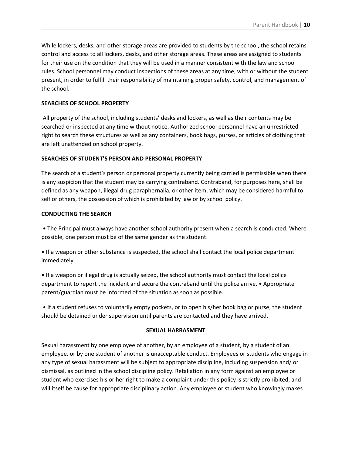While lockers, desks, and other storage areas are provided to students by the school, the school retains control and access to all lockers, desks, and other storage areas. These areas are assigned to students for their use on the condition that they will be used in a manner consistent with the law and school rules. School personnel may conduct inspections of these areas at any time, with or without the student present, in order to fulfill their responsibility of maintaining proper safety, control, and management of the school.

## **SEARCHES OF SCHOOL PROPERTY**

All property of the school, including students' desks and lockers, as well as their contents may be searched or inspected at any time without notice. Authorized school personnel have an unrestricted right to search these structures as well as any containers, book bags, purses, or articles of clothing that are left unattended on school property.

# **SEARCHES OF STUDENT'S PERSON AND PERSONAL PROPERTY**

The search of a student's person or personal property currently being carried is permissible when there is any suspicion that the student may be carrying contraband. Contraband, for purposes here, shall be defined as any weapon, illegal drug paraphernalia, or other item, which may be considered harmful to self or others, the possession of which is prohibited by law or by school policy.

## **CONDUCTING THE SEARCH**

• The Principal must always have another school authority present when a search is conducted. Where possible, one person must be of the same gender as the student.

• If a weapon or other substance is suspected, the school shall contact the local police department immediately.

• If a weapon or illegal drug is actually seized, the school authority must contact the local police department to report the incident and secure the contraband until the police arrive. • Appropriate parent/guardian must be informed of the situation as soon as possible.

• If a student refuses to voluntarily empty pockets, or to open his/her book bag or purse, the student should be detained under supervision until parents are contacted and they have arrived.

## **SEXUAL HARRASMENT**

Sexual harassment by one employee of another, by an employee of a student, by a student of an employee, or by one student of another is unacceptable conduct. Employees or students who engage in any type of sexual harassment will be subject to appropriate discipline, including suspension and/ or dismissal, as outlined in the school discipline policy. Retaliation in any form against an employee or student who exercises his or her right to make a complaint under this policy is strictly prohibited, and will itself be cause for appropriate disciplinary action. Any employee or student who knowingly makes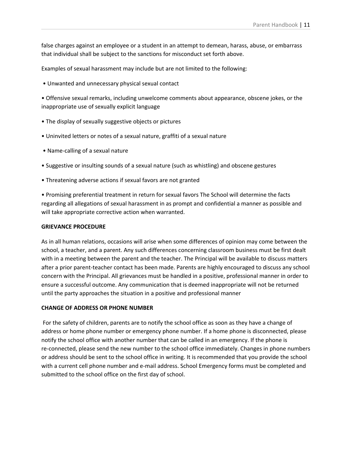false charges against an employee or a student in an attempt to demean, harass, abuse, or embarrass that individual shall be subject to the sanctions for misconduct set forth above.

Examples of sexual harassment may include but are not limited to the following:

• Unwanted and unnecessary physical sexual contact

• Offensive sexual remarks, including unwelcome comments about appearance, obscene jokes, or the inappropriate use of sexually explicit language

- The display of sexually suggestive objects or pictures
- Uninvited letters or notes of a sexual nature, graffiti of a sexual nature
- Name-calling of a sexual nature
- Suggestive or insulting sounds of a sexual nature (such as whistling) and obscene gestures
- Threatening adverse actions if sexual favors are not granted

• Promising preferential treatment in return for sexual favors The School will determine the facts regarding all allegations of sexual harassment in as prompt and confidential a manner as possible and will take appropriate corrective action when warranted.

#### **GRIEVANCE PROCEDURE**

As in all human relations, occasions will arise when some differences of opinion may come between the school, a teacher, and a parent. Any such differences concerning classroom business must be first dealt with in a meeting between the parent and the teacher. The Principal will be available to discuss matters after a prior parent-teacher contact has been made. Parents are highly encouraged to discuss any school concern with the Principal. All grievances must be handled in a positive, professional manner in order to ensure a successful outcome. Any communication that is deemed inappropriate will not be returned until the party approaches the situation in a positive and professional manner

#### **CHANGE OF ADDRESS OR PHONE NUMBER**

For the safety of children, parents are to notify the school office as soon as they have a change of address or home phone number or emergency phone number. If a home phone is disconnected, please notify the school office with another number that can be called in an emergency. If the phone is re-connected, please send the new number to the school office immediately. Changes in phone numbers or address should be sent to the school office in writing. It is recommended that you provide the school with a current cell phone number and e-mail address. School Emergency forms must be completed and submitted to the school office on the first day of school.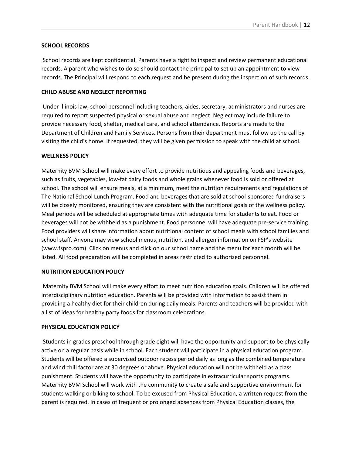# **SCHOOL RECORDS**

School records are kept confidential. Parents have a right to inspect and review permanent educational records. A parent who wishes to do so should contact the principal to set up an appointment to view records. The Principal will respond to each request and be present during the inspection of such records.

# **CHILD ABUSE AND NEGLECT REPORTING**

Under Illinois law, school personnel including teachers, aides, secretary, administrators and nurses are required to report suspected physical or sexual abuse and neglect. Neglect may include failure to provide necessary food, shelter, medical care, and school attendance. Reports are made to the Department of Children and Family Services. Persons from their department must follow up the call by visiting the child's home. If requested, they will be given permission to speak with the child at school.

# **WELLNESS POLICY**

Maternity BVM School will make every effort to provide nutritious and appealing foods and beverages, such as fruits, vegetables, low-fat dairy foods and whole grains whenever food is sold or offered at school. The school will ensure meals, at a minimum, meet the nutrition requirements and regulations of The National School Lunch Program. Food and beverages that are sold at school-sponsored fundraisers will be closely monitored, ensuring they are consistent with the nutritional goals of the wellness policy. Meal periods will be scheduled at appropriate times with adequate time for students to eat. Food or beverages will not be withheld as a punishment. Food personnel will have adequate pre-service training. Food providers will share information about nutritional content of school meals with school families and school staff. Anyone may view school menus, nutrition, and allergen information on FSP's website (www.fspro.com). Click on menus and click on our school name and the menu for each month will be listed. All food preparation will be completed in areas restricted to authorized personnel.

## **NUTRITION EDUCATION POLICY**

Maternity BVM School will make every effort to meet nutrition education goals. Children will be offered interdisciplinary nutrition education. Parents will be provided with information to assist them in providing a healthy diet for their children during daily meals. Parents and teachers will be provided with a list of ideas for healthy party foods for classroom celebrations.

## **PHYSICAL EDUCATION POLICY**

Students in grades preschool through grade eight will have the opportunity and support to be physically active on a regular basis while in school. Each student will participate in a physical education program. Students will be offered a supervised outdoor recess period daily as long as the combined temperature and wind chill factor are at 30 degrees or above. Physical education will not be withheld as a class punishment. Students will have the opportunity to participate in extracurricular sports programs. Maternity BVM School will work with the community to create a safe and supportive environment for students walking or biking to school. To be excused from Physical Education, a written request from the parent is required. In cases of frequent or prolonged absences from Physical Education classes, the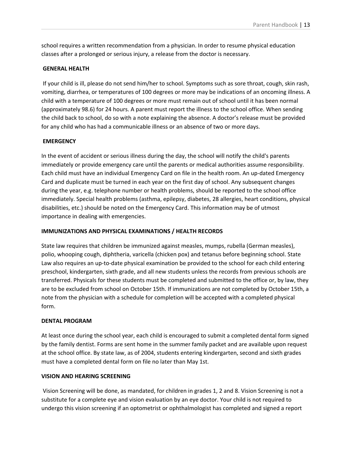school requires a written recommendation from a physician. In order to resume physical education classes after a prolonged or serious injury, a release from the doctor is necessary.

## **GENERAL HEALTH**

If your child is ill, please do not send him/her to school. Symptoms such as sore throat, cough, skin rash, vomiting, diarrhea, or temperatures of 100 degrees or more may be indications of an oncoming illness. A child with a temperature of 100 degrees or more must remain out of school until it has been normal (approximately 98.6) for 24 hours. A parent must report the illness to the school office. When sending the child back to school, do so with a note explaining the absence. A doctor's release must be provided for any child who has had a communicable illness or an absence of two or more days.

# **EMERGENCY**

In the event of accident or serious illness during the day, the school will notify the child's parents immediately or provide emergency care until the parents or medical authorities assume responsibility. Each child must have an individual Emergency Card on file in the health room. An up-dated Emergency Card and duplicate must be turned in each year on the first day of school. Any subsequent changes during the year, e.g. telephone number or health problems, should be reported to the school office immediately. Special health problems (asthma, epilepsy, diabetes, 28 allergies, heart conditions, physical disabilities, etc.) should be noted on the Emergency Card. This information may be of utmost importance in dealing with emergencies.

# **IMMUNIZATIONS AND PHYSICAL EXAMINATIONS / HEALTH RECORDS**

State law requires that children be immunized against measles, mumps, rubella (German measles), polio, whooping cough, diphtheria, varicella (chicken pox) and tetanus before beginning school. State Law also requires an up-to-date physical examination be provided to the school for each child entering preschool, kindergarten, sixth grade, and all new students unless the records from previous schools are transferred. Physicals for these students must be completed and submitted to the office or, by law, they are to be excluded from school on October 15th. If immunizations are not completed by October 15th, a note from the physician with a schedule for completion will be accepted with a completed physical form.

## **DENTAL PROGRAM**

At least once during the school year, each child is encouraged to submit a completed dental form signed by the family dentist. Forms are sent home in the summer family packet and are available upon request at the school office. By state law, as of 2004, students entering kindergarten, second and sixth grades must have a completed dental form on file no later than May 1st.

## **VISION AND HEARING SCREENING**

Vision Screening will be done, as mandated, for children in grades 1, 2 and 8. Vision Screening is not a substitute for a complete eye and vision evaluation by an eye doctor. Your child is not required to undergo this vision screening if an optometrist or ophthalmologist has completed and signed a report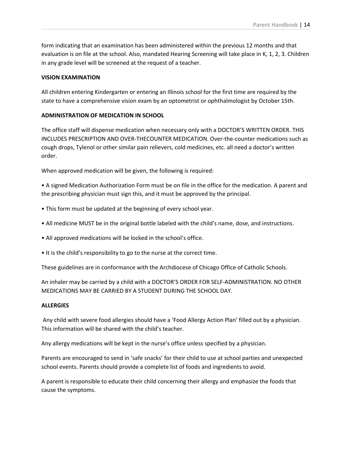form indicating that an examination has been administered within the previous 12 months and that evaluation is on file at the school. Also, mandated Hearing Screening will take place in K, 1, 2, 3. Children in any grade level will be screened at the request of a teacher.

## **VISION EXAMINATION**

All children entering Kindergarten or entering an Illinois school for the first time are required by the state to have a comprehensive vision exam by an optometrist or ophthalmologist by October 15th.

# **ADMINISTRATION OF MEDICATION IN SCHOOL**

The office staff will dispense medication when necessary only with a DOCTOR'S WRITTEN ORDER. THIS INCLUDES PRESCRIPTION AND OVER-THECOUNTER MEDICATION. Over-the-counter medications such as cough drops, Tylenol or other similar pain relievers, cold medicines, etc. all need a doctor's written order.

When approved medication will be given, the following is required:

• A signed Medication Authorization Form must be on file in the office for the medication. A parent and the prescribing physician must sign this, and it must be approved by the principal.

- This form must be updated at the beginning of every school year.
- All medicine MUST be in the original bottle labeled with the child's name, dose, and instructions.
- All approved medications will be locked in the school's office.
- It is the child's responsibility to go to the nurse at the correct time.

These guidelines are in conformance with the Archdiocese of Chicago Office of Catholic Schools.

An inhaler may be carried by a child with a DOCTOR'S ORDER FOR SELF-ADMINISTRATION. NO OTHER MEDICATIONS MAY BE CARRIED BY A STUDENT DURING THE SCHOOL DAY.

## **ALLERGIES**

Any child with severe food allergies should have a 'Food Allergy Action Plan' filled out by a physician. This information will be shared with the child's teacher.

Any allergy medications will be kept in the nurse's office unless specified by a physician.

Parents are encouraged to send in 'safe snacks' for their child to use at school parties and unexpected school events. Parents should provide a complete list of foods and ingredients to avoid.

A parent is responsible to educate their child concerning their allergy and emphasize the foods that cause the symptoms.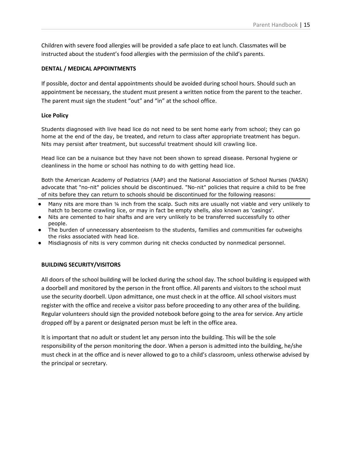Children with severe food allergies will be provided a safe place to eat lunch. Classmates will be instructed about the student's food allergies with the permission of the child's parents.

## **DENTAL / MEDICAL APPOINTMENTS**

If possible, doctor and dental appointments should be avoided during school hours. Should such an appointment be necessary, the student must present a written notice from the parent to the teacher. The parent must sign the student "out" and "in" at the school office.

# **Lice Policy**

Students diagnosed with live head lice do not need to be sent home early from school; they can go home at the end of the day, be treated, and return to class after appropriate treatment has begun. Nits may persist after treatment, but successful treatment should kill crawling lice.

Head lice can be a nuisance but they have not been shown to spread disease. Personal hygiene or cleanliness in the home or school has nothing to do with getting head lice.

Both the American Academy of Pediatrics (AAP) and the National Association of School Nurses (NASN) advocate that "no-nit" policies should be discontinued. "No-nit" policies that require a child to be free of nits before they can return to schools should be discontinued for the following reasons:

- Many nits are more than 1/4 inch from the scalp. Such nits are usually not viable and very unlikely to hatch to become crawling lice, or may in fact be empty shells, also known as 'casings'.
- Nits are cemented to hair shafts and are very unlikely to be transferred successfully to other people.
- The burden of unnecessary absenteeism to the students, families and communities far outweighs the risks associated with head lice.
- Misdiagnosis of nits is very common during nit checks conducted by nonmedical personnel.

# **BUILDING SECURITY/VISITORS**

All doors of the school building will be locked during the school day. The school building is equipped with a doorbell and monitored by the person in the front office. All parents and visitors to the school must use the security doorbell. Upon admittance, one must check in at the office. All school visitors must register with the office and receive a visitor pass before proceeding to any other area of the building. Regular volunteers should sign the provided notebook before going to the area for service. Any article dropped off by a parent or designated person must be left in the office area.

It is important that no adult or student let any person into the building. This will be the sole responsibility of the person monitoring the door. When a person is admitted into the building, he/she must check in at the office and is never allowed to go to a child's classroom, unless otherwise advised by the principal or secretary.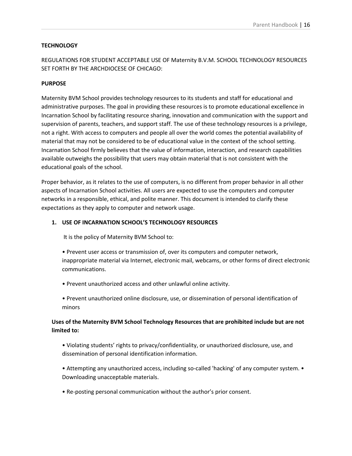# **TECHNOLOGY**

REGULATIONS FOR STUDENT ACCEPTABLE USE OF Maternity B.V.M. SCHOOL TECHNOLOGY RESOURCES SET FORTH BY THE ARCHDIOCESE OF CHICAGO:

# **PURPOSE**

Maternity BVM School provides technology resources to its students and staff for educational and administrative purposes. The goal in providing these resources is to promote educational excellence in Incarnation School by facilitating resource sharing, innovation and communication with the support and supervision of parents, teachers, and support staff. The use of these technology resources is a privilege, not a right. With access to computers and people all over the world comes the potential availability of material that may not be considered to be of educational value in the context of the school setting. Incarnation School firmly believes that the value of information, interaction, and research capabilities available outweighs the possibility that users may obtain material that is not consistent with the educational goals of the school.

Proper behavior, as it relates to the use of computers, is no different from proper behavior in all other aspects of Incarnation School activities. All users are expected to use the computers and computer networks in a responsible, ethical, and polite manner. This document is intended to clarify these expectations as they apply to computer and network usage.

# **1. USE OF INCARNATION SCHOOL'S TECHNOLOGY RESOURCES**

It is the policy of Maternity BVM School to:

- Prevent user access or transmission of, over its computers and computer network, inappropriate material via Internet, electronic mail, webcams, or other forms of direct electronic communications.
- Prevent unauthorized access and other unlawful online activity.
- Prevent unauthorized online disclosure, use, or dissemination of personal identification of minors

# **Uses of the Maternity BVM School Technology Resources that are prohibited include but are not limited to:**

- Violating students' rights to privacy/confidentiality, or unauthorized disclosure, use, and dissemination of personal identification information.
- Attempting any unauthorized access, including so-called 'hacking' of any computer system. Downloading unacceptable materials.
- Re-posting personal communication without the author's prior consent.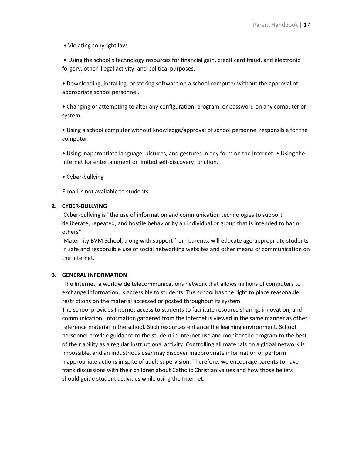• Violating copyright law.

• Using the school's technology resources for financial gain, credit card fraud, and electronic forgery, other illegal activity, and political purposes.

• Downloading, installing, or storing software on a school computer without the approval of appropriate school personnel.

• Changing or attempting to alter any configuration, program, or password on any computer or system.

• Using a school computer without knowledge/approval of school personnel responsible for the computer.

• Using inappropriate language, pictures, and gestures in any form on the Internet. • Using the Internet for entertainment or limited self-discovery function.

• Cyber-bullying

E-mail is not available to students

# **2. CYBER-BULLYING**

Cyber-bullying is "the use of information and communication technologies to support deliberate, repeated, and hostile behavior by an individual or group that is intended to harm others".

Maternity BVM School, along with support from parents, will educate age-appropriate students in safe and responsible use of social networking websites and other means of communication on the Internet.

# **3. GENERAL INFORMATION**

The Internet, a worldwide telecommunications network that allows millions of computers to exchange information, is accessible to students. The school has the right to place reasonable restrictions on the material accessed or posted throughout its system.

The school provides Internet access to students to facilitate resource sharing, innovation, and communication. Information gathered from the Internet is viewed in the same manner as other reference material in the school. Such resources enhance the learning environment. School personnel provide guidance to the student in Internet use and monitor the program to the best of their ability as a regular instructional activity. Controlling all materials on a global network is impossible, and an industrious user may discover inappropriate information or perform inappropriate actions in spite of adult supervision. Therefore, we encourage parents to have frank discussions with their children about Catholic Christian values and how those beliefs should guide student activities while using the Internet.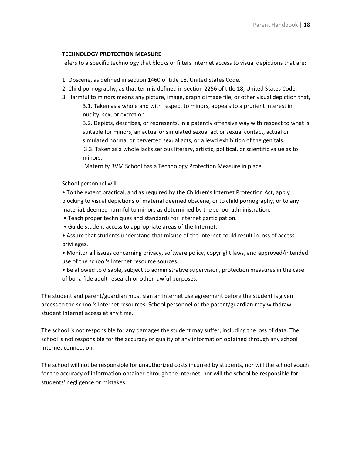# **TECHNOLOGY PROTECTION MEASURE**

refers to a specific technology that blocks or filters Internet access to visual depictions that are:

- 1. Obscene, as defined in section 1460 of title 18, United States Code.
- 2. Child pornography, as that term is defined in section 2256 of title 18, United States Code.
- 3. Harmful to minors means any picture, image, graphic image file, or other visual depiction that,

3.1. Taken as a whole and with respect to minors, appeals to a prurient interest in nudity, sex, or excretion.

3.2. Depicts, describes, or represents, in a patently offensive way with respect to what is suitable for minors, an actual or simulated sexual act or sexual contact, actual or simulated normal or perverted sexual acts, or a lewd exhibition of the genitals.

3.3. Taken as a whole lacks serious literary, artistic, political, or scientific value as to minors.

Maternity BVM School has a Technology Protection Measure in place.

School personnel will:

• To the extent practical, and as required by the Children's Internet Protection Act, apply blocking to visual depictions of material deemed obscene, or to child pornography, or to any materia1 deemed harmful to minors as determined by the school administration.

- Teach proper techniques and standards for Internet participation.
- Guide student access to appropriate areas of the Internet.
- Assure that students understand that misuse of the Internet could result in loss of access privileges.
- Monitor all issues concerning privacy, software policy, copyright laws, and approved/intended use of the school's Internet resource sources.
- Be allowed to disable, subject to administrative supervision, protection measures in the case of bona fide adult research or other lawful purposes.

The student and parent/guardian must sign an Internet use agreement before the student is given access to the school's Internet resources. School personnel or the parent/guardian may withdraw student Internet access at any time.

The school is not responsible for any damages the student may suffer, including the loss of data. The school is not responsible for the accuracy or quality of any information obtained through any school Internet connection.

The school will not be responsible for unauthorized costs incurred by students, nor will the school vouch for the accuracy of information obtained through the Internet, nor will the school be responsible for students' negligence or mistakes.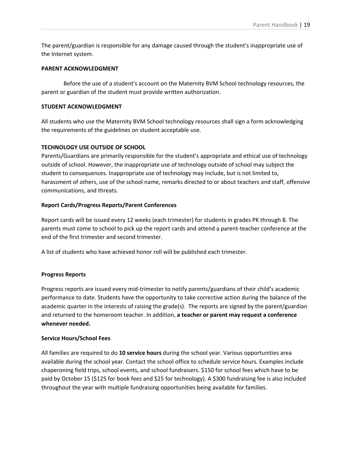The parent/guardian is responsible for any damage caused through the student's inappropriate use of the Internet system.

# **PARENT ACKNOWLEDGMENT**

Before the use of a student's account on the Maternity BVM School technology resources, the parent or guardian of the student must provide written authorization.

# **STUDENT ACKNOWLEDGMENT**

All students who use the Maternity BVM School technology resources shall sign a form acknowledging the requirements of the guidelines on student acceptable use.

# **TECHNOLOGY USE OUTSIDE OF SCHOOL**

Parents/Guardians are primarily responsible for the student's appropriate and ethical use of technology outside of school. However, the inappropriate use of technology outside of school may subject the student to consequences. Inappropriate use of technology may include, but is not limited to, harassment of others, use of the school name, remarks directed to or about teachers and staff, offensive communications, and threats.

# **Report Cards/Progress Reports/Parent Conferences**

Report cards will be issued every 12 weeks (each trimester) for students in grades PK through 8. The parents must come to school to pick up the report cards and attend a parent-teacher conference at the end of the first trimester and second trimester.

A list of students who have achieved honor roll will be published each trimester.

## **Progress Reports**

Progress reports are issued every mid-trimester to notify parents/guardians of their child's academic performance to date. Students have the opportunity to take corrective action during the balance of the academic quarter in the interests of raising the grade(s). The reports are signed by the parent/guardian and returned to the homeroom teacher. In addition, **a teacher or parent may request a conference whenever needed.**

## **Service Hours/School Fees**

All families are required to do **10 service hours** during the school year. Various opportunities area available during the school year. Contact the school office to schedule service hours. Examples include chaperoning field trips, school events, and school fundraisers. \$150 for school fees which have to be paid by October 15 (\$125 for book fees and \$25 for technology). A \$300 fundraising fee is also included throughout the year with multiple fundraising opportunities being available for families.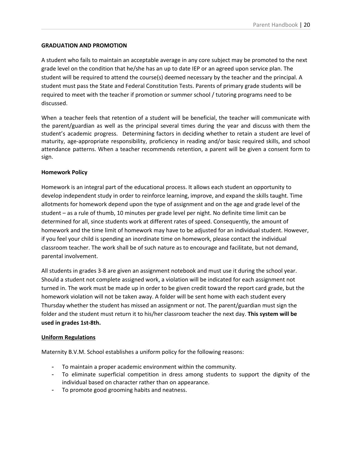# **GRADUATION AND PROMOTION**

A student who fails to maintain an acceptable average in any core subject may be promoted to the next grade level on the condition that he/she has an up to date IEP or an agreed upon service plan. The student will be required to attend the course(s) deemed necessary by the teacher and the principal. A student must pass the State and Federal Constitution Tests. Parents of primary grade students will be required to meet with the teacher if promotion or summer school / tutoring programs need to be discussed.

When a teacher feels that retention of a student will be beneficial, the teacher will communicate with the parent/guardian as well as the principal several times during the year and discuss with them the student's academic progress. Determining factors in deciding whether to retain a student are level of maturity, age-appropriate responsibility, proficiency in reading and/or basic required skills, and school attendance patterns. When a teacher recommends retention, a parent will be given a consent form to sign.

# **Homework Policy**

Homework is an integral part of the educational process. It allows each student an opportunity to develop independent study in order to reinforce learning, improve, and expand the skills taught. Time allotments for homework depend upon the type of assignment and on the age and grade level of the student – as a rule of thumb, 10 minutes per grade level per night. No definite time limit can be determined for all, since students work at different rates of speed. Consequently, the amount of homework and the time limit of homework may have to be adjusted for an individual student. However, if you feel your child is spending an inordinate time on homework, please contact the individual classroom teacher. The work shall be of such nature as to encourage and facilitate, but not demand, parental involvement.

All students in grades 3-8 are given an assignment notebook and must use it during the school year. Should a student not complete assigned work, a violation will be indicated for each assignment not turned in. The work must be made up in order to be given credit toward the report card grade, but the homework violation will not be taken away. A folder will be sent home with each student every Thursday whether the student has missed an assignment or not. The parent/guardian must sign the folder and the student must return it to his/her classroom teacher the next day. **This system will be used in grades 1st-8th.**

## **Uniform Regulations**

Maternity B.V.M. School establishes a uniform policy for the following reasons:

- To maintain a proper academic environment within the community.
- To eliminate superficial competition in dress among students to support the dignity of the individual based on character rather than on appearance.
- To promote good grooming habits and neatness.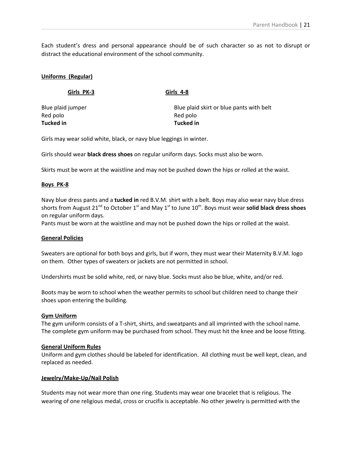Each student's dress and personal appearance should be of such character so as not to disrupt or distract the educational environment of the school community.

## **Uniforms (Regular)**

| Girls 4-8                                |
|------------------------------------------|
| Blue plaid skirt or blue pants with belt |
| Red polo                                 |
| <b>Tucked in</b>                         |
|                                          |

Girls may wear solid white, black, or navy blue leggings in winter.

Girls should wear **black dress shoes** on regular uniform days. Socks must also be worn.

Skirts must be worn at the waistline and may not be pushed down the hips or rolled at the waist.

## **Boys PK-8**

Navy blue dress pants and a **tucked in** red B.V.M. shirt with a belt. Boys may also wear navy blue dress shorts from August 21<sup>nd</sup> to October 1<sup>st</sup> and May 1<sup>st</sup> to June 10<sup>th</sup>. Boys must wear **solid black dress shoes** on regular uniform days.

Pants must be worn at the waistline and may not be pushed down the hips or rolled at the waist.

#### **General Policies**

Sweaters are optional for both boys and girls, but if worn, they must wear their Maternity B.V.M. logo on them. Other types of sweaters or jackets are not permitted in school.

Undershirts must be solid white, red, or navy blue. Socks must also be blue, white, and/or red.

Boots may be worn to school when the weather permits to school but children need to change their shoes upon entering the building.

#### **Gym Uniform**

The gym uniform consists of a T-shirt, shirts, and sweatpants and all imprinted with the school name. The complete gym uniform may be purchased from school. They must hit the knee and be loose fitting.

## **General Uniform Rules**

Uniform and gym clothes should be labeled for identification. All clothing must be well kept, clean, and replaced as needed.

#### **Jewelry/Make-Up/Nail Polish**

Students may not wear more than one ring. Students may wear one bracelet that is religious. The wearing of one religious medal, cross or crucifix is acceptable. No other jewelry is permitted with the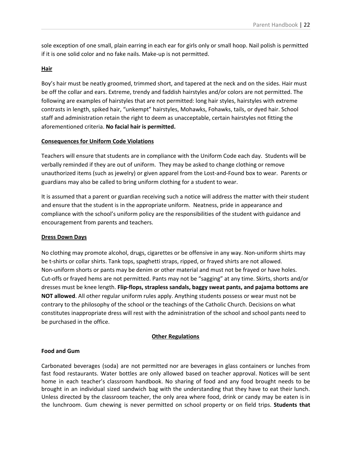sole exception of one small, plain earring in each ear for girls only or small hoop. Nail polish is permitted if it is one solid color and no fake nails. Make-up is not permitted.

# **Hair**

Boy's hair must be neatly groomed, trimmed short, and tapered at the neck and on the sides. Hair must be off the collar and ears. Extreme, trendy and faddish hairstyles and/or colors are not permitted. The following are examples of hairstyles that are not permitted: long hair styles, hairstyles with extreme contrasts in length, spiked hair, "unkempt" hairstyles, Mohawks, Fohawks, tails, or dyed hair. School staff and administration retain the right to deem as unacceptable, certain hairstyles not fitting the aforementioned criteria. **No facial hair is permitted.**

# **Consequences for Uniform Code Violations**

Teachers will ensure that students are in compliance with the Uniform Code each day. Students will be verbally reminded if they are out of uniform. They may be asked to change clothing or remove unauthorized items (such as jewelry) or given apparel from the Lost-and-Found box to wear. Parents or guardians may also be called to bring uniform clothing for a student to wear.

It is assumed that a parent or guardian receiving such a notice will address the matter with their student and ensure that the student is in the appropriate uniform. Neatness, pride in appearance and compliance with the school's uniform policy are the responsibilities of the student with guidance and encouragement from parents and teachers.

## **Dress Down Days**

No clothing may promote alcohol, drugs, cigarettes or be offensive in any way. Non-uniform shirts may be t-shirts or collar shirts. Tank tops, spaghetti straps, ripped, or frayed shirts are not allowed. Non-uniform shorts or pants may be denim or other material and must not be frayed or have holes. Cut-offs or frayed hems are not permitted. Pants may not be "sagging" at any time. Skirts, shorts and/or dresses must be knee length. **Flip-flops, strapless sandals, baggy sweat pants, and pajama bottoms are NOT allowed**. All other regular uniform rules apply. Anything students possess or wear must not be contrary to the philosophy of the school or the teachings of the Catholic Church. Decisions on what constitutes inappropriate dress will rest with the administration of the school and school pants need to be purchased in the office.

## **Other Regulations**

## **Food and Gum**

Carbonated beverages (soda) are not permitted nor are beverages in glass containers or lunches from fast food restaurants. Water bottles are only allowed based on teacher approval. Notices will be sent home in each teacher's classroom handbook. No sharing of food and any food brought needs to be brought in an individual sized sandwich bag with the understanding that they have to eat their lunch. Unless directed by the classroom teacher, the only area where food, drink or candy may be eaten is in the lunchroom. Gum chewing is never permitted on school property or on field trips. **Students that**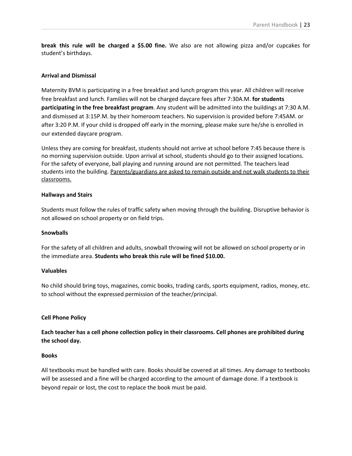**break this rule will be charged a \$5.00 fine.** We also are not allowing pizza and/or cupcakes for student's birthdays.

# **Arrival and Dismissal**

Maternity BVM is participating in a free breakfast and lunch program this year. All children will receive free breakfast and lunch. Families will not be charged daycare fees after 7:30A.M. **for students participating in the free breakfast program**. Any student will be admitted into the buildings at 7:30 A.M. and dismissed at 3:15P.M. by their homeroom teachers. No supervision is provided before 7:45AM. or after 3:20 P.M. If your child is dropped off early in the morning, please make sure he/she is enrolled in our extended daycare program.

Unless they are coming for breakfast, students should not arrive at school before 7:45 because there is no morning supervision outside. Upon arrival at school, students should go to their assigned locations. For the safety of everyone, ball playing and running around are not permitted. The teachers lead students into the building. Parents/guardians are asked to remain outside and not walk students to their classrooms.

## **Hallways and Stairs**

Students must follow the rules of traffic safety when moving through the building. Disruptive behavior is not allowed on school property or on field trips.

## **Snowballs**

For the safety of all children and adults, snowball throwing will not be allowed on school property or in the immediate area. **Students who break this rule will be fined \$10.00.**

## **Valuables**

No child should bring toys, magazines, comic books, trading cards, sports equipment, radios, money, etc. to school without the expressed permission of the teacher/principal.

## **Cell Phone Policy**

**Each teacher has a cell phone collection policy in their classrooms. Cell phones are prohibited during the school day.**

## **Books**

All textbooks must be handled with care. Books should be covered at all times. Any damage to textbooks will be assessed and a fine will be charged according to the amount of damage done. If a textbook is beyond repair or lost, the cost to replace the book must be paid.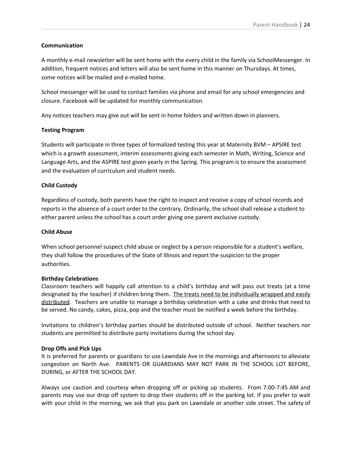# **Communication**

A monthly e-mail newsletter will be sent home with the every child in the family via SchoolMessenger. In addition, frequent notices and letters will also be sent home in this manner on Thursdays. At times, some notices will be mailed and e-mailed home.

School messenger will be used to contact families via phone and email for any school emergencies and closure. Facebook will be updated for monthly communication.

Any notices teachers may give out will be sent in home folders and written down in planners.

# **Testing Program**

Students will participate in three types of formalized testing this year at Maternity BVM – APSIRE test which is a growth assessment, interim assessments giving each semester in Math, Writing, Science and Language Arts, and the ASPIRE test given yearly in the Spring. This program is to ensure the assessment and the evaluation of curriculum and student needs.

# **Child Custody**

Regardless of custody, both parents have the right to inspect and receive a copy of school records and reports in the absence of a court order to the contrary. Ordinarily, the school shall release a student to either parent unless the school has a court order giving one parent exclusive custody.

## **Child Abuse**

When school personnel suspect child abuse or neglect by a person responsible for a student's welfare, they shall follow the procedures of the State of Illinois and report the suspicion to the proper authorities.

## **Birthday Celebrations**

Classroom teachers will happily call attention to a child's birthday and will pass out treats (at a time designated by the teacher) if children bring them. The treats need to be individually wrapped and easily distributed. Teachers are unable to manage a birthday celebration with a cake and drinks that need to be served. No candy, cakes, pizza, pop and the teacher must be notified a week before the birthday.

Invitations to children's birthday parties should be distributed outside of school. Neither teachers nor students are permitted to distribute party invitations during the school day.

## **Drop Offs and Pick Ups**

It is preferred for parents or guardians to use Lawndale Ave in the mornings and afternoons to alleviate congestion on North Ave. PARENTS OR GUARDIANS MAY NOT PARK IN THE SCHOOL LOT BEFORE, DURING, or AFTER THE SCHOOL DAY.

Always use caution and courtesy when dropping off or picking up students. From 7:00-7:45 AM and parents may use our drop off system to drop their students off in the parking lot. If you prefer to wait with your child in the morning, we ask that you park on Lawndale or another side street. The safety of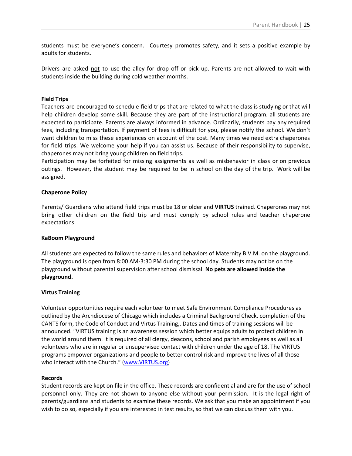students must be everyone's concern. Courtesy promotes safety, and it sets a positive example by adults for students.

Drivers are asked not to use the alley for drop off or pick up. Parents are not allowed to wait with students inside the building during cold weather months.

## **Field Trips**

Teachers are encouraged to schedule field trips that are related to what the class is studying or that will help children develop some skill. Because they are part of the instructional program, all students are expected to participate. Parents are always informed in advance. Ordinarily, students pay any required fees, including transportation. If payment of fees is difficult for you, please notify the school. We don't want children to miss these experiences on account of the cost. Many times we need extra chaperones for field trips. We welcome your help if you can assist us. Because of their responsibility to supervise, chaperones may not bring young children on field trips.

Participation may be forfeited for missing assignments as well as misbehavior in class or on previous outings. However, the student may be required to be in school on the day of the trip. Work will be assigned.

# **Chaperone Policy**

Parents/ Guardians who attend field trips must be 18 or older and **VIRTUS** trained. Chaperones may not bring other children on the field trip and must comply by school rules and teacher chaperone expectations.

## **KaBoom Playground**

All students are expected to follow the same rules and behaviors of Maternity B.V.M. on the playground. The playground is open from 8:00 AM-3:30 PM during the school day. Students may not be on the playground without parental supervision after school dismissal. **No pets are allowed inside the playground.**

## **Virtus Training**

Volunteer opportunities require each volunteer to meet Safe Environment Compliance Procedures as outlined by the Archdiocese of Chicago which includes a Criminal Background Check, completion of the CANTS form, the Code of Conduct and Virtus Training,. Dates and times of training sessions will be announced. "VIRTUS training is an awareness session which better equips adults to protect children in the world around them. It is required of all clergy, deacons, school and parish employees as well as all volunteers who are in regular or unsupervised contact with children under the age of 18. The VIRTUS programs empower organizations and people to better control risk and improve the lives of all those who interact with the Church." ([www.VIRTUS.org](http://www.virtus.org/))

## **Records**

Student records are kept on file in the office. These records are confidential and are for the use of school personnel only. They are not shown to anyone else without your permission. It is the legal right of parents/guardians and students to examine these records. We ask that you make an appointment if you wish to do so, especially if you are interested in test results, so that we can discuss them with you.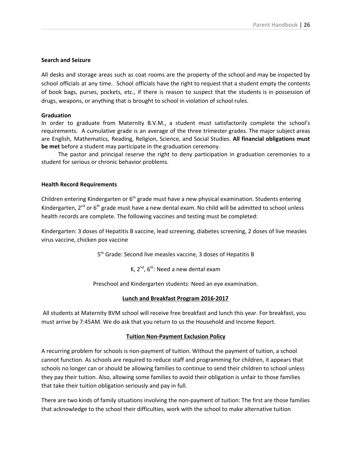## **Search and Seizure**

All desks and storage areas such as coat rooms are the property of the school and may be inspected by school officials at any time. School officials have the right to request that a student empty the contents of book bags, purses, pockets, etc., if there is reason to suspect that the students is in possession of drugs, weapons, or anything that is brought to school in violation of school rules.

# **Graduation**

In order to graduate from Maternity B.V.M., a student must satisfactorily complete the school's requirements. A cumulative grade is an average of the three trimester grades. The major subject areas are English, Mathematics, Reading, Religion, Science, and Social Studies. **All financial obligations must be met** before a student may participate in the graduation ceremony.

The pastor and principal reserve the right to deny participation in graduation ceremonies to a student for serious or chronic behavior problems.

# **Health Record Requirements**

Children entering Kindergarten or 6<sup>th</sup> grade must have a new physical examination. Students entering Kindergarten, 2<sup>nd</sup> or 6<sup>th</sup> grade must have a new dental exam. No child will be admitted to school unless health records are complete. The following vaccines and testing must be completed:

Kindergarten: 3 doses of Hepatitis B vaccine, lead screening, diabetes screening, 2 doses of live measles virus vaccine, chicken pox vaccine

5<sup>th</sup> Grade: Second live measles vaccine, 3 doses of Hepatitis B

K,  $2^{nd}$ ,  $6^{th}$ : Need a new dental exam

Preschool and Kindergarten students: Need an eye examination.

# **Lunch and Breakfast Program 2016-2017**

All students at Maternity BVM school will receive free breakfast and lunch this year. For breakfast, you must arrive by 7:45AM. We do ask that you return to us the Household and Income Report.

# **Tuition Non-Payment Exclusion Policy**

A recurring problem for schools is non-payment of tuition. Without the payment of tuition, a school cannot function. As schools are required to reduce staff and programming for children, it appears that schools no longer can or should be allowing families to continue to send their children to school unless they pay their tuition. Also, allowing some families to avoid their obligation is unfair to those families that take their tuition obligation seriously and pay in full.

There are two kinds of family situations involving the non-payment of tuition: The first are those families that acknowledge to the school their difficulties, work with the school to make alternative tuition